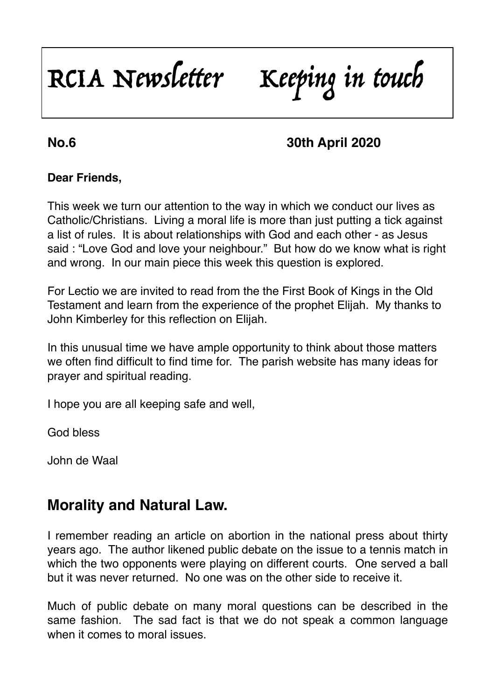# RCIA Newsletter Keeping in touch

## **No.6 30th April 2020**

#### **Dear Friends,**

This week we turn our attention to the way in which we conduct our lives as Catholic/Christians. Living a moral life is more than just putting a tick against a list of rules. It is about relationships with God and each other - as Jesus said : "Love God and love your neighbour." But how do we know what is right and wrong. In our main piece this week this question is explored.

For Lectio we are invited to read from the the First Book of Kings in the Old Testament and learn from the experience of the prophet Elijah. My thanks to John Kimberley for this reflection on Elijah.

In this unusual time we have ample opportunity to think about those matters we often find difficult to find time for. The parish website has many ideas for prayer and spiritual reading.

I hope you are all keeping safe and well,

God bless

John de Waal

# **Morality and Natural Law.**

I remember reading an article on abortion in the national press about thirty years ago. The author likened public debate on the issue to a tennis match in which the two opponents were playing on different courts. One served a ball but it was never returned. No one was on the other side to receive it.

Much of public debate on many moral questions can be described in the same fashion. The sad fact is that we do not speak a common language when it comes to moral issues.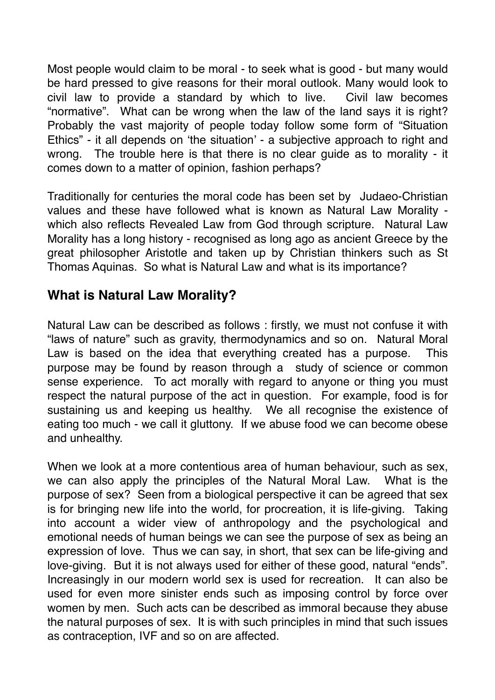Most people would claim to be moral - to seek what is good - but many would be hard pressed to give reasons for their moral outlook. Many would look to civil law to provide a standard by which to live. Civil law becomes "normative". What can be wrong when the law of the land says it is right? Probably the vast majority of people today follow some form of "Situation Ethics" - it all depends on 'the situation' - a subjective approach to right and wrong. The trouble here is that there is no clear guide as to morality - it comes down to a matter of opinion, fashion perhaps?

Traditionally for centuries the moral code has been set by Judaeo-Christian values and these have followed what is known as Natural Law Morality which also reflects Revealed Law from God through scripture. Natural Law Morality has a long history - recognised as long ago as ancient Greece by the great philosopher Aristotle and taken up by Christian thinkers such as St Thomas Aquinas. So what is Natural Law and what is its importance?

## **What is Natural Law Morality?**

Natural Law can be described as follows : firstly, we must not confuse it with "laws of nature" such as gravity, thermodynamics and so on. Natural Moral Law is based on the idea that everything created has a purpose. This purpose may be found by reason through a study of science or common sense experience. To act morally with regard to anyone or thing you must respect the natural purpose of the act in question. For example, food is for sustaining us and keeping us healthy. We all recognise the existence of eating too much - we call it gluttony. If we abuse food we can become obese and unhealthy.

When we look at a more contentious area of human behaviour, such as sex, we can also apply the principles of the Natural Moral Law. What is the purpose of sex? Seen from a biological perspective it can be agreed that sex is for bringing new life into the world, for procreation, it is life-giving. Taking into account a wider view of anthropology and the psychological and emotional needs of human beings we can see the purpose of sex as being an expression of love. Thus we can say, in short, that sex can be life-giving and love-giving. But it is not always used for either of these good, natural "ends". Increasingly in our modern world sex is used for recreation. It can also be used for even more sinister ends such as imposing control by force over women by men. Such acts can be described as immoral because they abuse the natural purposes of sex. It is with such principles in mind that such issues as contraception, IVF and so on are affected.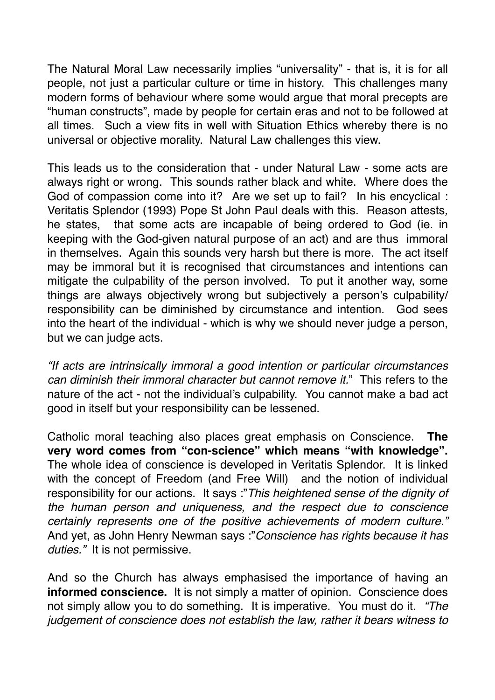The Natural Moral Law necessarily implies "universality" - that is, it is for all people, not just a particular culture or time in history. This challenges many modern forms of behaviour where some would argue that moral precepts are "human constructs", made by people for certain eras and not to be followed at all times. Such a view fits in well with Situation Ethics whereby there is no universal or objective morality. Natural Law challenges this view.

This leads us to the consideration that - under Natural Law - some acts are always right or wrong. This sounds rather black and white. Where does the God of compassion come into it? Are we set up to fail? In his encyclical : Veritatis Splendor (1993) Pope St John Paul deals with this. Reason attests*,*  he states, that some acts are incapable of being ordered to God (ie. in keeping with the God-given natural purpose of an act) and are thus immoral in themselves. Again this sounds very harsh but there is more. The act itself may be immoral but it is recognised that circumstances and intentions can mitigate the culpability of the person involved. To put it another way, some things are always objectively wrong but subjectively a person's culpability/ responsibility can be diminished by circumstance and intention. God sees into the heart of the individual - which is why we should never judge a person, but we can judge acts.

*"If acts are intrinsically immoral a good intention or particular circumstances can diminish their immoral character but cannot remove it.*" This refers to the nature of the act - not the individual's culpability. You cannot make a bad act good in itself but your responsibility can be lessened.

Catholic moral teaching also places great emphasis on Conscience. **The very word comes from "con-science" which means "with knowledge".**  The whole idea of conscience is developed in Veritatis Splendor. It is linked with the concept of Freedom (and Free Will) and the notion of individual responsibility for our actions. It says :"*This heightened sense of the dignity of the human person and uniqueness, and the respect due to conscience certainly represents one of the positive achievements of modern culture."* And yet, as John Henry Newman says :"*Conscience has rights because it has duties."* It is not permissive.

And so the Church has always emphasised the importance of having an **informed conscience.** It is not simply a matter of opinion. Conscience does not simply allow you to do something. It is imperative. You must do it. *"The judgement of conscience does not establish the law, rather it bears witness to*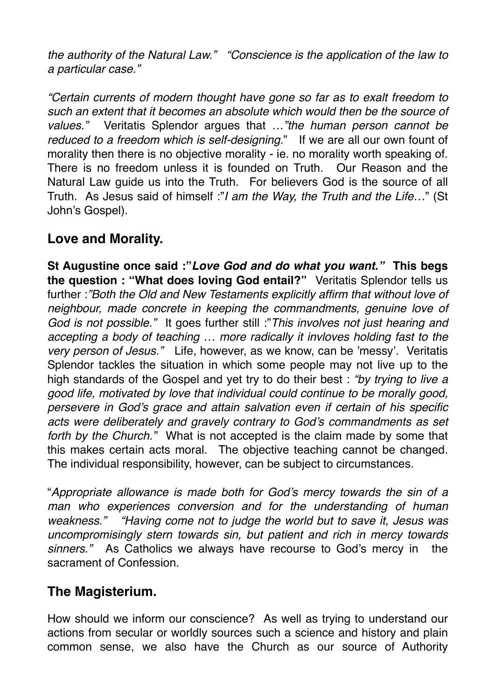*the authority of the Natural Law." "Conscience is the application of the law to a particular case."* 

*"Certain currents of modern thought have gone so far as to exalt freedom to such an extent that it becomes an absolute which would then be the source of values."* Veritatis Splendor argues that …*"the human person cannot be reduced to a freedom which is self-designing.*" If we are all our own fount of morality then there is no objective morality - ie. no morality worth speaking of. There is no freedom unless it is founded on Truth. Our Reason and the Natural Law guide us into the Truth. For believers God is the source of all Truth. As Jesus said of himself :"*I am the Way, the Truth and the Life*…" (St John's Gospel).

## **Love and Morality.**

**St Augustine once said :"***Love God and do what you want."* **This begs the question : "What does loving God entail?"** Veritatis Splendor tells us further :*"Both the Old and New Testaments explicitly affirm that without love of neighbour, made concrete in keeping the commandments, genuine love of God is not possible."* It goes further still :"*This involves not just hearing and accepting a body of teaching … more radically it invloves holding fast to the very person of Jesus."* Life, however, as we know, can be 'messy'. Veritatis Splendor tackles the situation in which some people may not live up to the high standards of the Gospel and yet try to do their best : *"by trying to live a good life, motivated by love that individual could continue to be morally good, persevere in God's grace and attain salvation even if certain of his specific acts were deliberately and gravely contrary to God's commandments as set forth by the Church."* What is not accepted is the claim made by some that this makes certain acts moral. The objective teaching cannot be changed. The individual responsibility, however, can be subject to circumstances.

"*Appropriate allowance is made both for God's mercy towards the sin of a*  man who experiences conversion and for the understanding of human *weakness." "Having come not to judge the world but to save it, Jesus was uncompromisingly stern towards sin, but patient and rich in mercy towards sinners."* As Catholics we always have recourse to God's mercy in the sacrament of Confession.

## **The Magisterium.**

How should we inform our conscience? As well as trying to understand our actions from secular or worldly sources such a science and history and plain common sense, we also have the Church as our source of Authority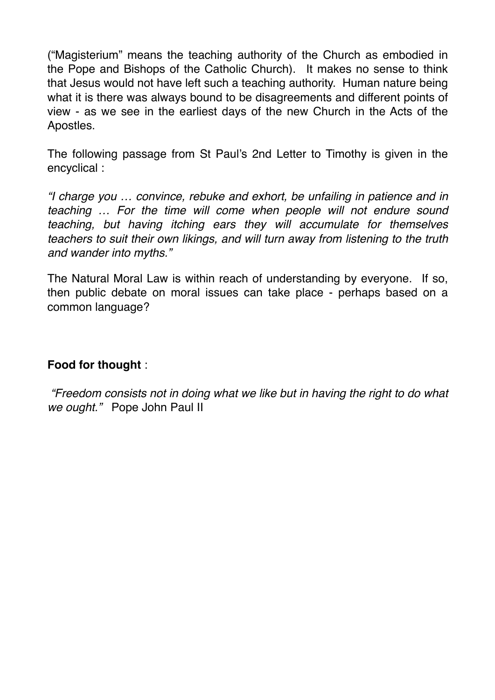("Magisterium" means the teaching authority of the Church as embodied in the Pope and Bishops of the Catholic Church). It makes no sense to think that Jesus would not have left such a teaching authority. Human nature being what it is there was always bound to be disagreements and different points of view - as we see in the earliest days of the new Church in the Acts of the Apostles.

The following passage from St Paul's 2nd Letter to Timothy is given in the encyclical :

*"I charge you … convince, rebuke and exhort, be unfailing in patience and in teaching … For the time will come when people will not endure sound teaching, but having itching ears they will accumulate for themselves teachers to suit their own likings, and will turn away from listening to the truth and wander into myths."* 

The Natural Moral Law is within reach of understanding by everyone. If so, then public debate on moral issues can take place - perhaps based on a common language?

#### **Food for thought** :

*"Freedom consists not in doing what we like but in having the right to do what we ought."* Pope John Paul II